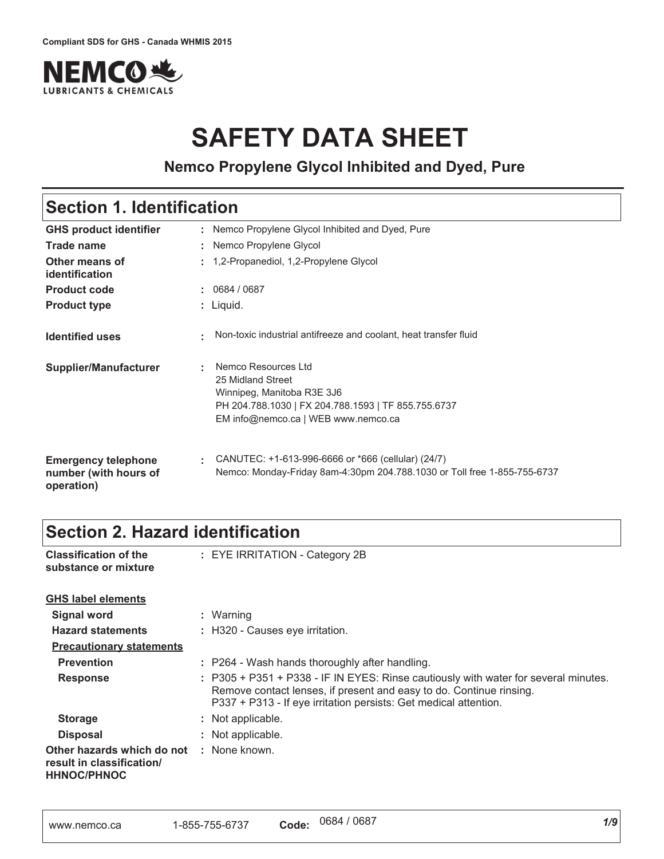

# **SAFETY DATA SHEET**

**Nemco Propylene Glycol Inhibited and Dyed, Pure**

### **Section 1. Identification**

| <b>GHS product identifier</b>                                     | : Nemco Propylene Glycol Inhibited and Dyed, Pure                                                                                                                         |
|-------------------------------------------------------------------|---------------------------------------------------------------------------------------------------------------------------------------------------------------------------|
| Trade name                                                        | Nemco Propylene Glycol                                                                                                                                                    |
| Other means of<br>identification                                  | 1,2-Propanediol, 1,2-Propylene Glycol<br>$\mathbf{r}_\mathrm{c}$                                                                                                          |
| <b>Product code</b>                                               | 0684 / 0687                                                                                                                                                               |
| <b>Product type</b>                                               | : Liquid.                                                                                                                                                                 |
| <b>Identified uses</b>                                            | Non-toxic industrial antifreeze and coolant, heat transfer fluid<br>٠                                                                                                     |
| <b>Supplier/Manufacturer</b>                                      | Nemco Resources Ltd<br>٠<br>25 Midland Street<br>Winnipeg, Manitoba R3E 3J6<br>PH 204.788.1030   FX 204.788.1593   TF 855.755.6737<br>EM info@nemco.ca   WEB www.nemco.ca |
| <b>Emergency telephone</b><br>number (with hours of<br>operation) | CANUTEC: +1-613-996-6666 or *666 (cellular) (24/7)<br>÷.<br>Nemco: Monday-Friday 8am-4:30pm 204.788.1030 or Toll free 1-855-755-6737                                      |

### **Section 2. Hazard identification**

| <b>Classification of the</b><br>substance or mixture                          | : EYE IRRITATION - Category 2B                                                                                                                                                                                                 |
|-------------------------------------------------------------------------------|--------------------------------------------------------------------------------------------------------------------------------------------------------------------------------------------------------------------------------|
| <b>GHS label elements</b>                                                     |                                                                                                                                                                                                                                |
| <b>Signal word</b>                                                            | : Warning                                                                                                                                                                                                                      |
| <b>Hazard statements</b>                                                      | : H320 - Causes eye irritation.                                                                                                                                                                                                |
| <b>Precautionary statements</b>                                               |                                                                                                                                                                                                                                |
| <b>Prevention</b>                                                             | : P264 - Wash hands thoroughly after handling.                                                                                                                                                                                 |
| <b>Response</b>                                                               | : P305 + P351 + P338 - IF IN EYES: Rinse cautiously with water for several minutes.<br>Remove contact lenses, if present and easy to do. Continue rinsing.<br>P337 + P313 - If eye irritation persists: Get medical attention. |
| <b>Storage</b>                                                                | : Not applicable.                                                                                                                                                                                                              |
| <b>Disposal</b>                                                               | : Not applicable.                                                                                                                                                                                                              |
| Other hazards which do not<br>result in classification/<br><b>HHNOC/PHNOC</b> | : None known.                                                                                                                                                                                                                  |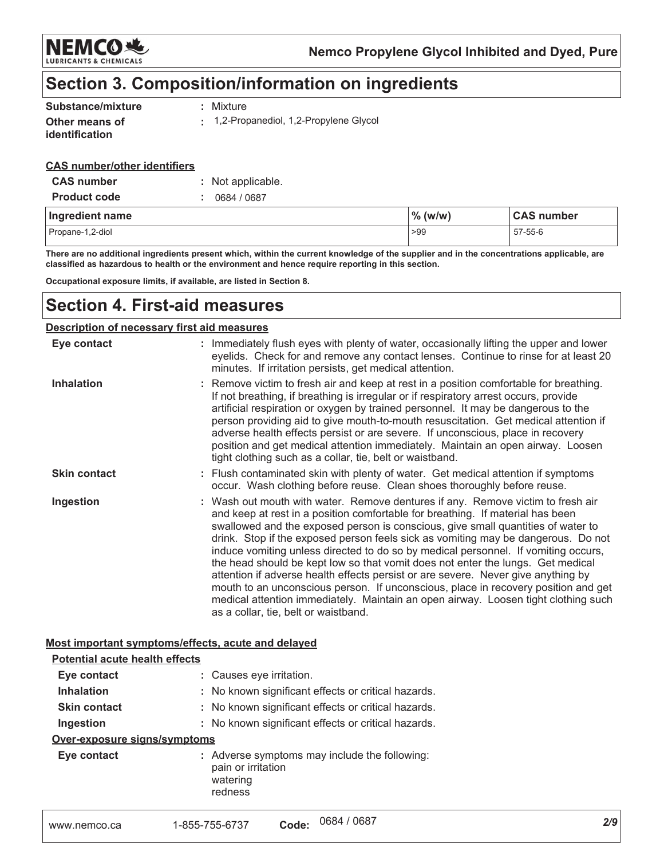

### Section 3. Composition/information on ingredients

| Substance/mixture                       | : Mixture                             |
|-----------------------------------------|---------------------------------------|
| Other means of<br><i>identification</i> | 1,2-Propanediol, 1,2-Propylene Glycol |

#### **CAS number/other identifiers**

| <b>CAS number</b>   | : Not applicable. |            |                   |  |
|---------------------|-------------------|------------|-------------------|--|
| <b>Product code</b> | 0684 / 0687       |            |                   |  |
|                     |                   |            |                   |  |
| Ingredient name     |                   | $\%$ (w/w) | <b>CAS number</b> |  |

There are no additional ingredients present which, within the current knowledge of the supplier and in the concentrations applicable, are classified as hazardous to health or the environment and hence require reporting in this section.

Occupational exposure limits, if available, are listed in Section 8.

### **Section 4. First-aid measures**

#### Description of necessary first aid measures

| Eye contact         | : Immediately flush eyes with plenty of water, occasionally lifting the upper and lower<br>eyelids. Check for and remove any contact lenses. Continue to rinse for at least 20<br>minutes. If irritation persists, get medical attention.                                                                                                                                                                                                                                                                                                                                                                                                                                                                                                                                                                                    |
|---------------------|------------------------------------------------------------------------------------------------------------------------------------------------------------------------------------------------------------------------------------------------------------------------------------------------------------------------------------------------------------------------------------------------------------------------------------------------------------------------------------------------------------------------------------------------------------------------------------------------------------------------------------------------------------------------------------------------------------------------------------------------------------------------------------------------------------------------------|
| <b>Inhalation</b>   | : Remove victim to fresh air and keep at rest in a position comfortable for breathing.<br>If not breathing, if breathing is irregular or if respiratory arrest occurs, provide<br>artificial respiration or oxygen by trained personnel. It may be dangerous to the<br>person providing aid to give mouth-to-mouth resuscitation. Get medical attention if<br>adverse health effects persist or are severe. If unconscious, place in recovery<br>position and get medical attention immediately. Maintain an open airway. Loosen<br>tight clothing such as a collar, tie, belt or waistband.                                                                                                                                                                                                                                 |
| <b>Skin contact</b> | : Flush contaminated skin with plenty of water. Get medical attention if symptoms<br>occur. Wash clothing before reuse. Clean shoes thoroughly before reuse.                                                                                                                                                                                                                                                                                                                                                                                                                                                                                                                                                                                                                                                                 |
| Ingestion           | : Wash out mouth with water. Remove dentures if any. Remove victim to fresh air<br>and keep at rest in a position comfortable for breathing. If material has been<br>swallowed and the exposed person is conscious, give small quantities of water to<br>drink. Stop if the exposed person feels sick as vomiting may be dangerous. Do not<br>induce vomiting unless directed to do so by medical personnel. If vomiting occurs,<br>the head should be kept low so that vomit does not enter the lungs. Get medical<br>attention if adverse health effects persist or are severe. Never give anything by<br>mouth to an unconscious person. If unconscious, place in recovery position and get<br>medical attention immediately. Maintain an open airway. Loosen tight clothing such<br>as a collar, tie, belt or waistband. |

#### Most important symptoms/effects, acute and delayed

| <b>Potential acute health effects</b> |                                                                                            |
|---------------------------------------|--------------------------------------------------------------------------------------------|
| Eye contact                           | : Causes eye irritation.                                                                   |
| <b>Inhalation</b>                     | : No known significant effects or critical hazards.                                        |
| <b>Skin contact</b>                   | : No known significant effects or critical hazards.                                        |
| Ingestion                             | : No known significant effects or critical hazards.                                        |
| Over-exposure signs/symptoms          |                                                                                            |
| Eye contact                           | : Adverse symptoms may include the following:<br>pain or irritation<br>watering<br>redness |
| www.nemco.ca                          | 0684 / 0687<br>Code:<br>1-855-755-6737                                                     |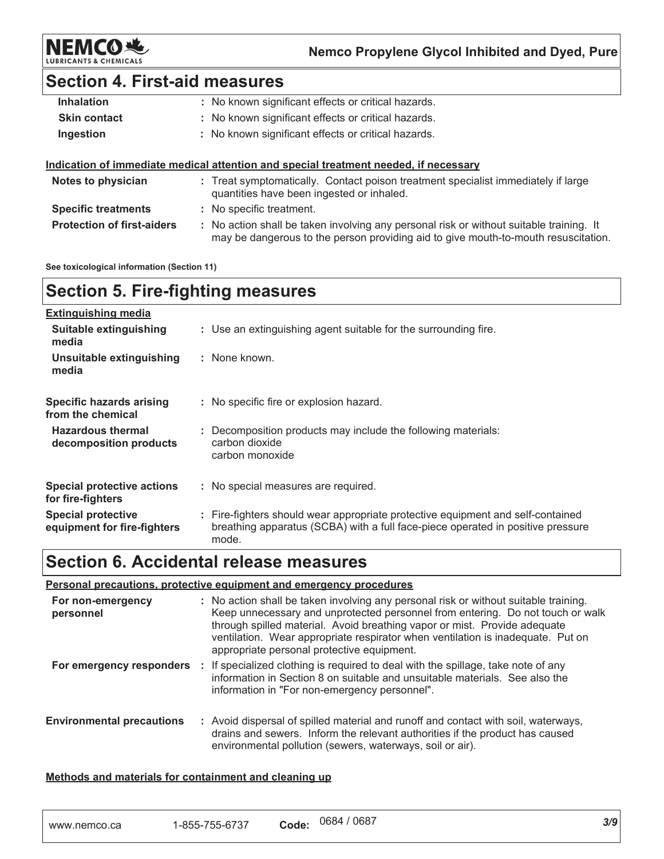

### **Section 4. First-aid measures**

| <b>Inhalation</b>   | : No known significant effects or critical hazards.                                                                            |
|---------------------|--------------------------------------------------------------------------------------------------------------------------------|
| <b>Skin contact</b> | : No known significant effects or critical hazards.                                                                            |
| Ingestion           | : No known significant effects or critical hazards.                                                                            |
|                     |                                                                                                                                |
|                     | Indication of immediate medical attention and special treatment needed, if necessary                                           |
| Notes to physician  | : Treat symptomatically. Contact poison treatment specialist immediately if large<br>quantities have been ingested or inhaled. |

: No action shall be taken involving any personal risk or without suitable training. It may be dangerous to the person providing aid to give mouth-to-mouth resuscitation.

See toxicological information (Section 11)

**Protection of first-aiders** 

### **Section 5. Fire-fighting measures**

| <b>Extinguishing media</b>                               |                                                                                                                                                                             |
|----------------------------------------------------------|-----------------------------------------------------------------------------------------------------------------------------------------------------------------------------|
| Suitable extinguishing<br>media                          | : Use an extinguishing agent suitable for the surrounding fire.                                                                                                             |
| Unsuitable extinguishing<br>media                        | : None known.                                                                                                                                                               |
| <b>Specific hazards arising</b><br>from the chemical     | : No specific fire or explosion hazard.                                                                                                                                     |
| <b>Hazardous thermal</b><br>decomposition products       | : Decomposition products may include the following materials:<br>carbon dioxide<br>carbon monoxide                                                                          |
| Special protective actions<br>for fire-fighters          | : No special measures are required.                                                                                                                                         |
| <b>Special protective</b><br>equipment for fire-fighters | : Fire-fighters should wear appropriate protective equipment and self-contained<br>breathing apparatus (SCBA) with a full face-piece operated in positive pressure<br>mode. |

### **Section 6. Accidental release measures**

### Personal precautions, protective equipment and emergency procedures

| For non-emergency<br>personnel   | : No action shall be taken involving any personal risk or without suitable training.<br>Keep unnecessary and unprotected personnel from entering. Do not touch or walk<br>through spilled material. Avoid breathing vapor or mist. Provide adequate<br>ventilation. Wear appropriate respirator when ventilation is inadequate. Put on<br>appropriate personal protective equipment. |
|----------------------------------|--------------------------------------------------------------------------------------------------------------------------------------------------------------------------------------------------------------------------------------------------------------------------------------------------------------------------------------------------------------------------------------|
| For emergency responders         | : If specialized clothing is required to deal with the spillage, take note of any<br>information in Section 8 on suitable and unsuitable materials. See also the<br>information in "For non-emergency personnel".                                                                                                                                                                    |
| <b>Environmental precautions</b> | : Avoid dispersal of spilled material and runoff and contact with soil, waterways,<br>drains and sewers. Inform the relevant authorities if the product has caused<br>environmental pollution (sewers, waterways, soil or air).                                                                                                                                                      |

#### Methods and materials for containment and cleaning up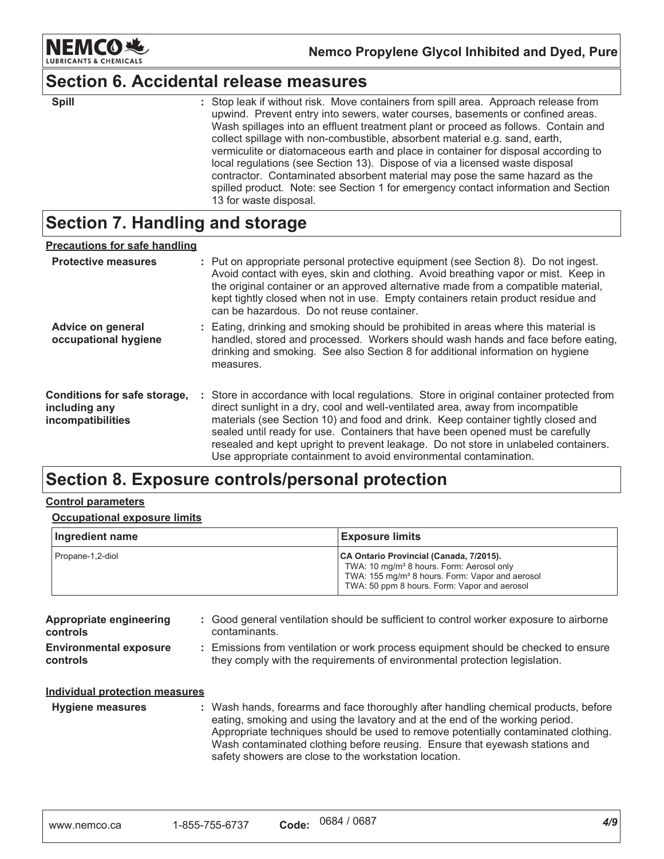

### **Section 6. Accidental release measures**

| <b>Spill</b> | : Stop leak if without risk. Move containers from spill area. Approach release from |
|--------------|-------------------------------------------------------------------------------------|
|              | upwind. Prevent entry into sewers, water courses, basements or confined areas.      |
|              | Wash spillages into an effluent treatment plant or proceed as follows. Contain and  |
|              | collect spillage with non-combustible, absorbent material e.g. sand, earth,         |
|              | vermiculite or diatomaceous earth and place in container for disposal according to  |
|              | local regulations (see Section 13). Dispose of via a licensed waste disposal        |
|              | contractor. Contaminated absorbent material may pose the same hazard as the         |
|              | spilled product. Note: see Section 1 for emergency contact information and Section  |
|              | 13 for waste disposal.                                                              |

### **Section 7. Handling and storage**

| <b>Precautions for safe handling</b>                               |                                                                                                                                                                                                                                                                                                                                                                                                                                                                                                               |
|--------------------------------------------------------------------|---------------------------------------------------------------------------------------------------------------------------------------------------------------------------------------------------------------------------------------------------------------------------------------------------------------------------------------------------------------------------------------------------------------------------------------------------------------------------------------------------------------|
| <b>Protective measures</b>                                         | : Put on appropriate personal protective equipment (see Section 8). Do not ingest.<br>Avoid contact with eyes, skin and clothing. Avoid breathing vapor or mist. Keep in<br>the original container or an approved alternative made from a compatible material,<br>kept tightly closed when not in use. Empty containers retain product residue and<br>can be hazardous. Do not reuse container.                                                                                                               |
| Advice on general<br>occupational hygiene                          | : Eating, drinking and smoking should be prohibited in areas where this material is<br>handled, stored and processed. Workers should wash hands and face before eating,<br>drinking and smoking. See also Section 8 for additional information on hygiene<br>measures.                                                                                                                                                                                                                                        |
| Conditions for safe storage,<br>including any<br>incompatibilities | : Store in accordance with local regulations. Store in original container protected from<br>direct sunlight in a dry, cool and well-ventilated area, away from incompatible<br>materials (see Section 10) and food and drink. Keep container tightly closed and<br>sealed until ready for use. Containers that have been opened must be carefully<br>resealed and kept upright to prevent leakage. Do not store in unlabeled containers.<br>Use appropriate containment to avoid environmental contamination. |

### Section 8. Exposure controls/personal protection

#### **Control parameters**

#### **Occupational exposure limits**

| Ingredient name  | <b>Exposure limits</b>                                                                                                                                                                                          |
|------------------|-----------------------------------------------------------------------------------------------------------------------------------------------------------------------------------------------------------------|
| Propane-1,2-diol | CA Ontario Provincial (Canada, 7/2015).<br>TWA: 10 mg/m <sup>3</sup> 8 hours. Form: Aerosol only<br>TWA: 155 mg/m <sup>3</sup> 8 hours. Form: Vapor and aerosol<br>TWA: 50 ppm 8 hours. Form: Vapor and aerosol |

| Appropriate engineering<br><b>controls</b>       | : Good general ventilation should be sufficient to control worker exposure to airborne<br>contaminants.                                                          |
|--------------------------------------------------|------------------------------------------------------------------------------------------------------------------------------------------------------------------|
| <b>Environmental exposure</b><br><b>controls</b> | : Emissions from ventilation or work process equipment should be checked to ensure<br>they comply with the requirements of environmental protection legislation. |
| Individual protection measures                   |                                                                                                                                                                  |

**Hygiene measures** : Wash hands, forearms and face thoroughly after handling chemical products, before eating, smoking and using the lavatory and at the end of the working period. Appropriate techniques should be used to remove potentially contaminated clothing. Wash contaminated clothing before reusing. Ensure that eyewash stations and safety showers are close to the workstation location.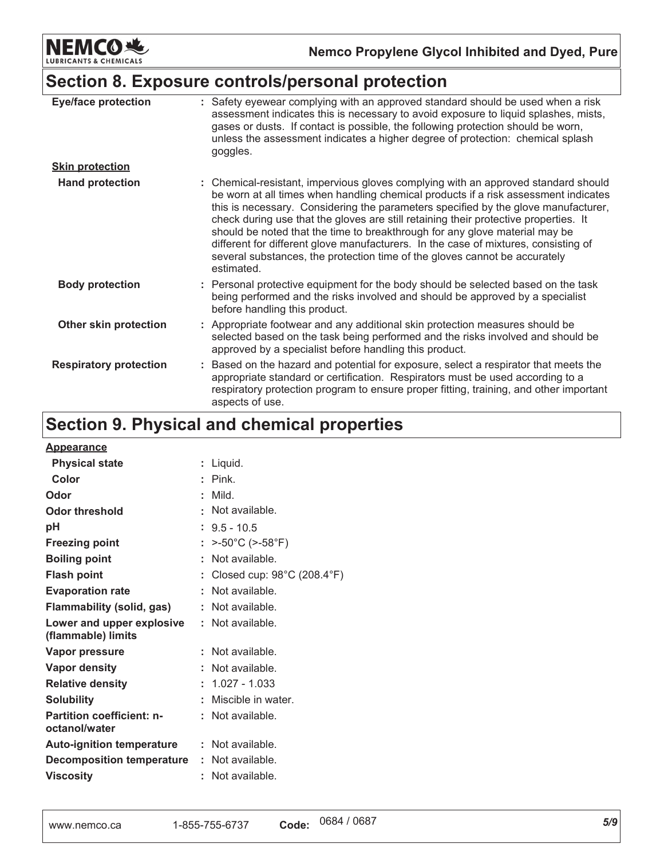**NEMCO地** & CHEMICALS LUBRIC

Nemco Propylene Glycol Inhibited and Dyed, Pure

### Section 8. Exposure controls/personal protection

| <b>Eye/face protection</b>    | : Safety eyewear complying with an approved standard should be used when a risk<br>assessment indicates this is necessary to avoid exposure to liquid splashes, mists,<br>gases or dusts. If contact is possible, the following protection should be worn,<br>unless the assessment indicates a higher degree of protection: chemical splash<br>goggles.                                                                                                                                                                                                                                                                  |
|-------------------------------|---------------------------------------------------------------------------------------------------------------------------------------------------------------------------------------------------------------------------------------------------------------------------------------------------------------------------------------------------------------------------------------------------------------------------------------------------------------------------------------------------------------------------------------------------------------------------------------------------------------------------|
| <b>Skin protection</b>        |                                                                                                                                                                                                                                                                                                                                                                                                                                                                                                                                                                                                                           |
| <b>Hand protection</b>        | : Chemical-resistant, impervious gloves complying with an approved standard should<br>be worn at all times when handling chemical products if a risk assessment indicates<br>this is necessary. Considering the parameters specified by the glove manufacturer,<br>check during use that the gloves are still retaining their protective properties. It<br>should be noted that the time to breakthrough for any glove material may be<br>different for different glove manufacturers. In the case of mixtures, consisting of<br>several substances, the protection time of the gloves cannot be accurately<br>estimated. |
| <b>Body protection</b>        | : Personal protective equipment for the body should be selected based on the task<br>being performed and the risks involved and should be approved by a specialist<br>before handling this product.                                                                                                                                                                                                                                                                                                                                                                                                                       |
| Other skin protection         | : Appropriate footwear and any additional skin protection measures should be<br>selected based on the task being performed and the risks involved and should be<br>approved by a specialist before handling this product.                                                                                                                                                                                                                                                                                                                                                                                                 |
| <b>Respiratory protection</b> | Based on the hazard and potential for exposure, select a respirator that meets the<br>appropriate standard or certification. Respirators must be used according to a<br>respiratory protection program to ensure proper fitting, training, and other important<br>aspects of use.                                                                                                                                                                                                                                                                                                                                         |

## Section 9. Physical and chemical properties

| <b>Appearance</b>                                 |    |                                                 |
|---------------------------------------------------|----|-------------------------------------------------|
| <b>Physical state</b>                             |    | : Liquid.                                       |
| Color                                             |    | $:$ Pink.                                       |
| Odor                                              |    | Mild.                                           |
| Odor threshold                                    |    | Not available.                                  |
| рH                                                |    | $: 9.5 - 10.5$                                  |
| <b>Freezing point</b>                             |    | $>$ -50°C ( $>$ -58°F)                          |
| <b>Boiling point</b>                              | ÷. | Not available.                                  |
| <b>Flash point</b>                                |    | Closed cup: $98^{\circ}$ C (208.4 $^{\circ}$ F) |
| <b>Evaporation rate</b>                           |    | Not available.                                  |
| Flammability (solid, gas)                         |    | Not available.                                  |
| Lower and upper explosive<br>(flammable) limits   |    | : Not available.                                |
| Vapor pressure                                    |    | : Not available.                                |
| Vapor density                                     |    | Not available.                                  |
| <b>Relative density</b>                           |    | $: 1.027 - 1.033$                               |
| <b>Solubility</b>                                 |    | Miscible in water.                              |
| <b>Partition coefficient: n-</b><br>octanol/water |    | Not available.                                  |
| <b>Auto-ignition temperature : Not available.</b> |    |                                                 |
| <b>Decomposition temperature</b>                  |    | : Not available.                                |
| <b>Viscosity</b>                                  |    | Not available.                                  |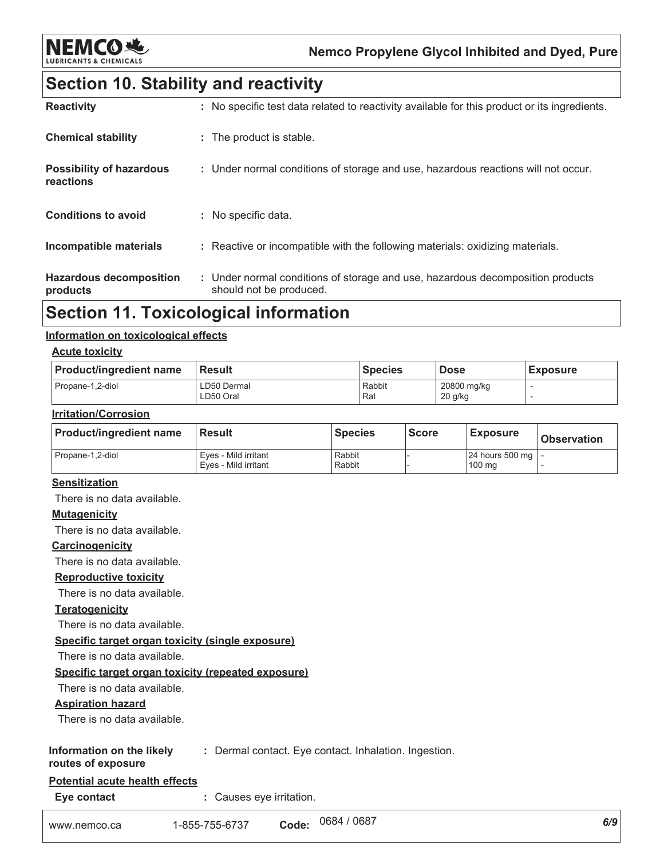![](_page_5_Picture_0.jpeg)

Nemco Propylene Glycol Inhibited and Dyed, Pure

### **Section 10. Stability and reactivity**

| <b>Reactivity</b>                            | : No specific test data related to reactivity available for this product or its ingredients.              |
|----------------------------------------------|-----------------------------------------------------------------------------------------------------------|
| <b>Chemical stability</b>                    | : The product is stable.                                                                                  |
| <b>Possibility of hazardous</b><br>reactions | : Under normal conditions of storage and use, hazardous reactions will not occur.                         |
| <b>Conditions to avoid</b>                   | : No specific data.                                                                                       |
| Incompatible materials                       | : Reactive or incompatible with the following materials: oxidizing materials.                             |
| <b>Hazardous decomposition</b><br>products   | : Under normal conditions of storage and use, hazardous decomposition products<br>should not be produced. |

### **Section 11. Toxicological information**

#### Information on toxicological effects

#### **Acute toxicity**

| <b>Product/ingredient name</b> | <b>Result</b>            | <b>Species</b> | <b>Dose</b>              | <b>Exposure</b> |
|--------------------------------|--------------------------|----------------|--------------------------|-----------------|
| Propane-1,2-diol               | LD50 Dermal<br>LD50 Oral | Rabbit<br>Rat  | 20800 mg/kg<br>$20$ g/kg |                 |

#### **Irritation/Corrosion**

| <b>Product/ingredient name</b> | <b>Result</b>                                | <b>Species</b>   | <b>Score</b> | <b>Exposure</b>               | <b>Observation</b> |
|--------------------------------|----------------------------------------------|------------------|--------------|-------------------------------|--------------------|
| Propane-1,2-diol               | Eves - Mild irritant<br>Eves - Mild irritant | Rabbit<br>Rabbit |              | 24 hours 500 mg   -<br>100 mg |                    |

#### **Sensitization**

There is no data available.

#### **Mutagenicity**

There is no data available.

#### Carcinogenicity

There is no data available.

#### **Reproductive toxicity**

There is no data available.

#### **Teratogenicity**

There is no data available.

Specific target organ toxicity (single exposure)

There is no data available.

#### Specific target organ toxicity (repeated exposure)

There is no data available.

#### **Aspiration hazard**

There is no data available.

#### Information on the likely : Dermal contact. Eye contact. Inhalation. Ingestion.

#### routes of exposure

### Potential acute health effects

Eye contact : Causes eye irritation.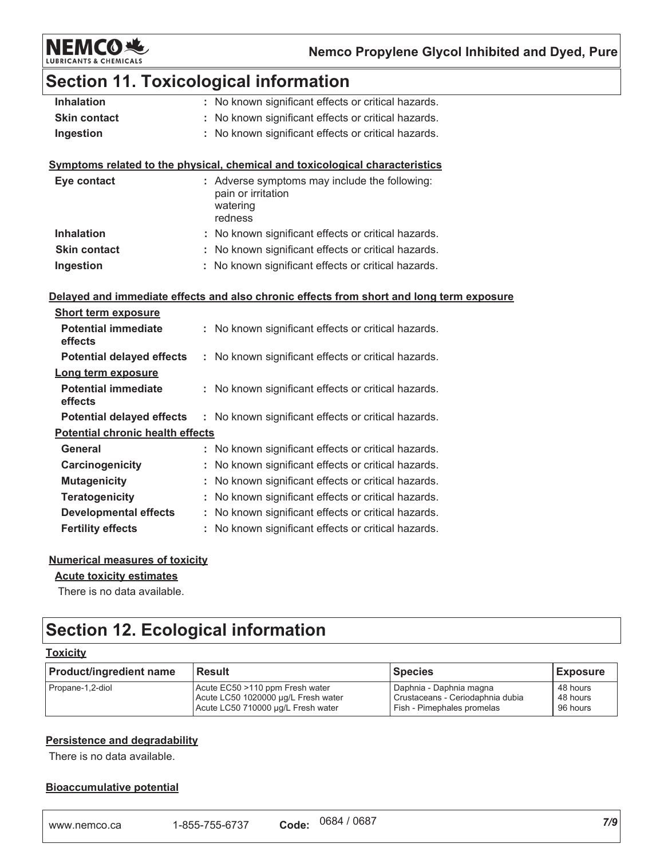![](_page_6_Picture_0.jpeg)

# Section 11. Toxicological information

| <b>Inhalation</b>   | : No known significant effects or critical hazards. |
|---------------------|-----------------------------------------------------|
| <b>Skin contact</b> | : No known significant effects or critical hazards. |
| Ingestion           | : No known significant effects or critical hazards. |

#### Symptoms related to the physical, chemical and toxicological characteristics

| Eye contact         | : Adverse symptoms may include the following:<br>pain or irritation<br>watering<br>redness |
|---------------------|--------------------------------------------------------------------------------------------|
| <b>Inhalation</b>   | : No known significant effects or critical hazards.                                        |
| <b>Skin contact</b> | : No known significant effects or critical hazards.                                        |
| Ingestion           | : No known significant effects or critical hazards.                                        |

#### Delayed and immediate effects and also chronic effects from short and long term exposure

| <b>Short term exposure</b>              |                                                         |
|-----------------------------------------|---------------------------------------------------------|
| <b>Potential immediate</b><br>effects   | No known significant effects or critical hazards.<br>t. |
| <b>Potential delayed effects</b>        | : No known significant effects or critical hazards.     |
| Long term exposure                      |                                                         |
| Potential immediate<br>effects          | No known significant effects or critical hazards.       |
| <b>Potential delayed effects</b>        | : No known significant effects or critical hazards.     |
| <b>Potential chronic health effects</b> |                                                         |
| General                                 | No known significant effects or critical hazards.       |
| Carcinogenicity                         | : No known significant effects or critical hazards.     |
| <b>Mutagenicity</b>                     | No known significant effects or critical hazards.       |
| <b>Teratogenicity</b>                   | : No known significant effects or critical hazards.     |
| <b>Developmental effects</b>            | No known significant effects or critical hazards.<br>t. |
| <b>Fertility effects</b>                | No known significant effects or critical hazards.       |

#### **Numerical measures of toxicity**

#### **Acute toxicity estimates**

There is no data available.

## **Section 12. Ecological information**

### **Toxicity**

| <b>Product/ingredient name</b> | <b>Result</b>                       | <b>Species</b>                   | <b>Exposure</b> |
|--------------------------------|-------------------------------------|----------------------------------|-----------------|
| Propane-1,2-diol               | Acute EC50 >110 ppm Fresh water     | Daphnia - Daphnia magna          | 48 hours        |
|                                | Acute LC50 1020000 ug/L Fresh water | Crustaceans - Ceriodaphnia dubia | 48 hours        |
|                                | Acute LC50 710000 µg/L Fresh water  | Fish - Pimephales promelas       | 96 hours        |

#### **Persistence and degradability**

There is no data available.

#### **Bioaccumulative potential**

| www.nemco.ca | 1-855-755-6737 | Code: | 0684 / 0687 |  |
|--------------|----------------|-------|-------------|--|
|--------------|----------------|-------|-------------|--|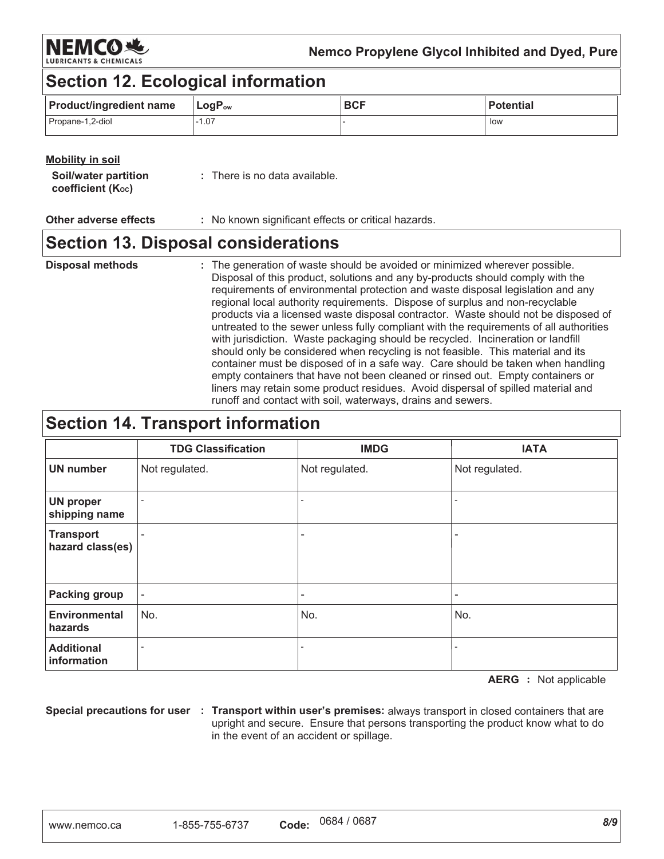NEMCORS

Nemco Propylene Glycol Inhibited and Dyed, Pure

### **Section 12. Ecological information**

| <b>Product/ingredient name</b> | $\mathsf{LogP}_\mathsf{ow}$ | <b>BCF</b> | <b>Potential</b> |
|--------------------------------|-----------------------------|------------|------------------|
| Propane-1,2-diol               | $-1.07$                     |            | low              |

### **Mobility in soil**

| Soil/water partition | : There is no data available. |
|----------------------|-------------------------------|
| coefficient (Koc)    |                               |

#### **Other adverse effects** : No known significant effects or critical hazards.

### **Section 13. Disposal considerations**

#### : The generation of waste should be avoided or minimized wherever possible. **Disposal methods** Disposal of this product, solutions and any by-products should comply with the requirements of environmental protection and waste disposal legislation and any regional local authority requirements. Dispose of surplus and non-recyclable products via a licensed waste disposal contractor. Waste should not be disposed of untreated to the sewer unless fully compliant with the requirements of all authorities with jurisdiction. Waste packaging should be recycled. Incineration or landfill should only be considered when recycling is not feasible. This material and its container must be disposed of in a safe way. Care should be taken when handling empty containers that have not been cleaned or rinsed out. Empty containers or liners may retain some product residues. Avoid dispersal of spilled material and runoff and contact with soil, waterways, drains and sewers.

### **Section 14. Transport information**

|                                      | <b>TDG Classification</b> | <b>IMDG</b>              | <b>IATA</b>    |
|--------------------------------------|---------------------------|--------------------------|----------------|
| <b>UN number</b>                     | Not regulated.            | Not regulated.           | Not regulated. |
| <b>UN proper</b><br>shipping name    |                           |                          |                |
| <b>Transport</b><br>hazard class(es) |                           | $\overline{\phantom{a}}$ |                |
| <b>Packing group</b>                 | $\overline{\phantom{a}}$  | $\overline{\phantom{a}}$ |                |
| <b>Environmental</b><br>hazards      | No.                       | No.                      | No.            |
| <b>Additional</b><br>information     |                           |                          |                |

**AERG** : Not applicable

Special precautions for user : Transport within user's premises: always transport in closed containers that are upright and secure. Ensure that persons transporting the product know what to do in the event of an accident or spillage.